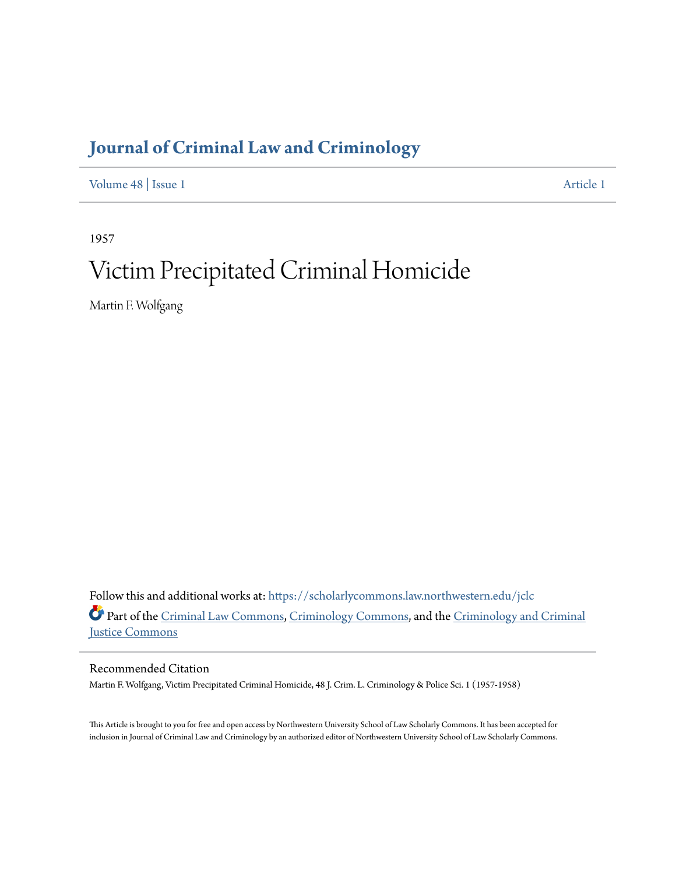## **[Journal of Criminal Law and Criminology](https://scholarlycommons.law.northwestern.edu/jclc?utm_source=scholarlycommons.law.northwestern.edu%2Fjclc%2Fvol48%2Fiss1%2F1&utm_medium=PDF&utm_campaign=PDFCoverPages)**

[Volume 48](https://scholarlycommons.law.northwestern.edu/jclc/vol48?utm_source=scholarlycommons.law.northwestern.edu%2Fjclc%2Fvol48%2Fiss1%2F1&utm_medium=PDF&utm_campaign=PDFCoverPages) | [Issue 1](https://scholarlycommons.law.northwestern.edu/jclc/vol48/iss1?utm_source=scholarlycommons.law.northwestern.edu%2Fjclc%2Fvol48%2Fiss1%2F1&utm_medium=PDF&utm_campaign=PDFCoverPages) [Article 1](https://scholarlycommons.law.northwestern.edu/jclc/vol48/iss1/1?utm_source=scholarlycommons.law.northwestern.edu%2Fjclc%2Fvol48%2Fiss1%2F1&utm_medium=PDF&utm_campaign=PDFCoverPages)

1957

# Victim Precipitated Criminal Homicide

Martin F. Wolfgang

Follow this and additional works at: [https://scholarlycommons.law.northwestern.edu/jclc](https://scholarlycommons.law.northwestern.edu/jclc?utm_source=scholarlycommons.law.northwestern.edu%2Fjclc%2Fvol48%2Fiss1%2F1&utm_medium=PDF&utm_campaign=PDFCoverPages) Part of the [Criminal Law Commons](http://network.bepress.com/hgg/discipline/912?utm_source=scholarlycommons.law.northwestern.edu%2Fjclc%2Fvol48%2Fiss1%2F1&utm_medium=PDF&utm_campaign=PDFCoverPages), [Criminology Commons](http://network.bepress.com/hgg/discipline/417?utm_source=scholarlycommons.law.northwestern.edu%2Fjclc%2Fvol48%2Fiss1%2F1&utm_medium=PDF&utm_campaign=PDFCoverPages), and the [Criminology and Criminal](http://network.bepress.com/hgg/discipline/367?utm_source=scholarlycommons.law.northwestern.edu%2Fjclc%2Fvol48%2Fiss1%2F1&utm_medium=PDF&utm_campaign=PDFCoverPages) [Justice Commons](http://network.bepress.com/hgg/discipline/367?utm_source=scholarlycommons.law.northwestern.edu%2Fjclc%2Fvol48%2Fiss1%2F1&utm_medium=PDF&utm_campaign=PDFCoverPages)

Recommended Citation

Martin F. Wolfgang, Victim Precipitated Criminal Homicide, 48 J. Crim. L. Criminology & Police Sci. 1 (1957-1958)

This Article is brought to you for free and open access by Northwestern University School of Law Scholarly Commons. It has been accepted for inclusion in Journal of Criminal Law and Criminology by an authorized editor of Northwestern University School of Law Scholarly Commons.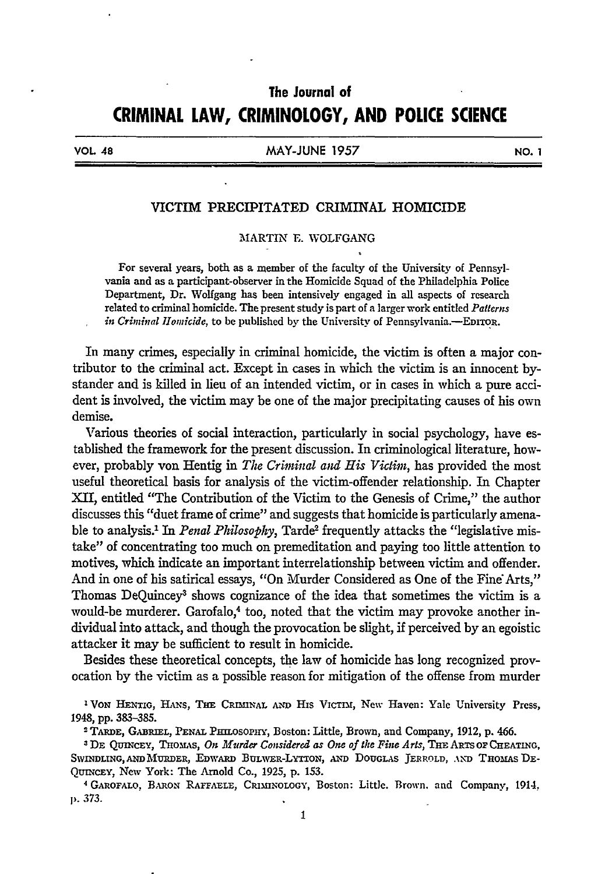## **The Journal of CRIMINAL LAW, CRIMINOLOGY, AND POLICE SCIENCE**

#### VOL **48** MAY-JUNE 1957 **NO. 1**

#### VICTIM PRECIPITATED CRIMINAL HOMICIDE

MARTIN E. WOLFGANG

For several years, both as a member of the faculty of the University of Pennsylvania and as a participant-observer in the Homicide Squad of the Philadelphia Police Department, Dr. Wolfgang has been intensively engaged in all aspects of research related to criminal homicide. The present study is part of a larger work entitled *Patterns in Criminal Homicide*, to be published by the University of Pennsylvania.-EDITOR.

In many crimes, especially in criminal homicide, the victim is often a major contributor to the criminal act. Except in cases in which the victim is an innocent bystander and is killed in lieu of an intended victim, or in cases in which a pure accident is involved, the victim may be one of the major precipitating causes of his own demise.

Various theories of social interaction, particularly in social psychology, have established the framework for the present discussion. In criminological literature, however, probably von Hentig in *The Criminal and His Victim,* has provided the most useful theoretical basis for analysis of the victim-offender relationship. In Chapter XII, entitled "The Contribution of the Victim to the Genesis of Crime," the author discusses this "duet frame of crime" and suggests that homicide is particularly amenable to analysis.<sup>1</sup> In *Penal Philosophy*, Tarde<sup>2</sup> frequently attacks the "legislative mistake" of concentrating too much on premeditation and paying too little attention to motives, which indicate an important interrelationship between victim and offender. And in one of his satirical essays, "On Murder Considered as One of the Fine Arts," Thomas DeQuincey<sup>3</sup> shows cognizance of the idea that sometimes the victim is a would-be murderer. Garofalo,<sup>4</sup> too, noted that the victim may provoke another individual into attack, and though the provocation be slight, if perceived by an egoistic attacker it may be sufficient to result in homicide.

Besides these theoretical concepts, the law of homicide has long recognized provocation by the victim as a possible reason for mitigation of the offense from murder

<sup>1</sup> VON HENTIG, HANS, THE CRIMINAL AND HIS VICTIM, New Haven: Yale University Press, 1948, **pp.** 383-385.

2 **TARDE, GABRIEL, PENAL PmLosOpryr, Boston:** Little, Brown, and Company, 1912, **p.** 466.

**3DE QUNCEY,** Tnomxs, *On Mlurder Considered as One of the Fine Arts,* THE ARTS **Or CHEATING,** SWINDLING, AND MURDER, EDWARD BULWER-LYTTON, AND DOUGLAS JERROLD, AND THOMAS DE-**QuincEY,** New York: The Arnold Co., **1925, p.** 153.

4 GAROFALO. **BARON** RAFFAELE, CRIMINOLOGY, Boston: Little. Brown. and Company, 1914, p. 373.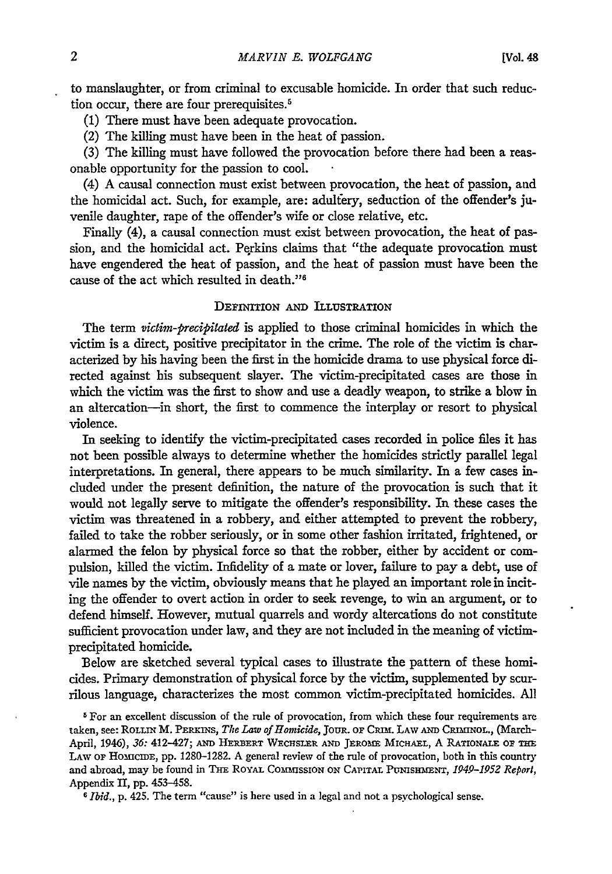to manslaughter, or from criminal to excusable homicide. In order that such reduction occur, there are four prerequisites.<sup>5</sup>

(1) There must have been adequate provocation.

(2) The killing must have been in the heat of passion.

(3) The killing must have followed the provocation before there had been a reasonable opportunity for the passion to cool.

(4) A causal connection must exist between provocation, the heat of passion, and the homicidal act. Such, for example, are: adulfery, seduction of the offender's juvenile daughter, rape of the offender's wife or close relative, etc.

Finally (4), a causal connection must exist between provocation, the heat of passion, and the homicidal act. Perkins claims that "the adequate provocation must have engendered the heat of passion, and the heat of passion must have been the cause of the act which resulted in death."<sup>6</sup>

#### DEFINITION **AND** ILLUSTRATION

The term *victim-precipitated* is applied to those criminal homicides in which the victim is a direct, positive precipitator in the crime. The role of the victim is characterized by his having been the first in the homicide drama to use physical force directed against his subsequent slayer. The victim-precipitated cases are those in which the victim was the first to show and use a deadly weapon, to strike a blow in an altercation-in short, the first to commence the interplay or resort to physical violence.

In seeking to identify the victim-precipitated cases recorded in police files it has not been possible always to determine whether the homicides strictly parallel legal interpretations. In general, there appears to be much similarity. In a few cases included under the present definition, the nature of the provocation is such that it would not legally serve to mitigate the offender's responsibility. In these cases the victim was threatened in a robbery, and either attempted to prevent the robbery, failed to take the robber seriously, or in some other fashion irritated, frightened, or alarmed the felon by physical force so that the robber, either by accident or compulsion, killed the victim. Infidelity of a mate or lover, failure to pay a debt, use of vile names by the victim, obviously means that he played an important role in inciting the offender to overt action in order to seek revenge, to win an argument, or to defend himself. However, mutual quarrels and wordy altercations do not constitute sufficient provocation under law, and they are not included in the meaning of victimprecipitated homicide.

Below are sketched several typical cases to illustrate the pattern of these homicides. Primary demonstration of physical force by the victim, supplemented by scurrilous language, characterizes the most common victim-precipitated homicides. All

**5** For an excellent discussion of the rule of provocation, from which these four requirements are taken, see: ROLLIN M. PERKINS, *The Law of Homicide*, JOUR. OF CRIM. LAW AND CRIMINOL., (March-April, 1946), *36:* 412-427; **AND** HERBERT WECHSLER **AND** JEROMIE MICHAEL, A RATIONALE OF **THE** LAW OF HOMICIDE, pp. 1280-1282. A general review of the rule of provocation, both in this country and abroad, may be found in TIE ROYAL COMmSSlON **ON** CAPITAL Pumsn'MEr, *1949-1952 Report,* Appendix **II,** pp. 453-458.

**6** *Ibid.,* p. 425. The term "cause" is here used in a legal and not a psychological sense.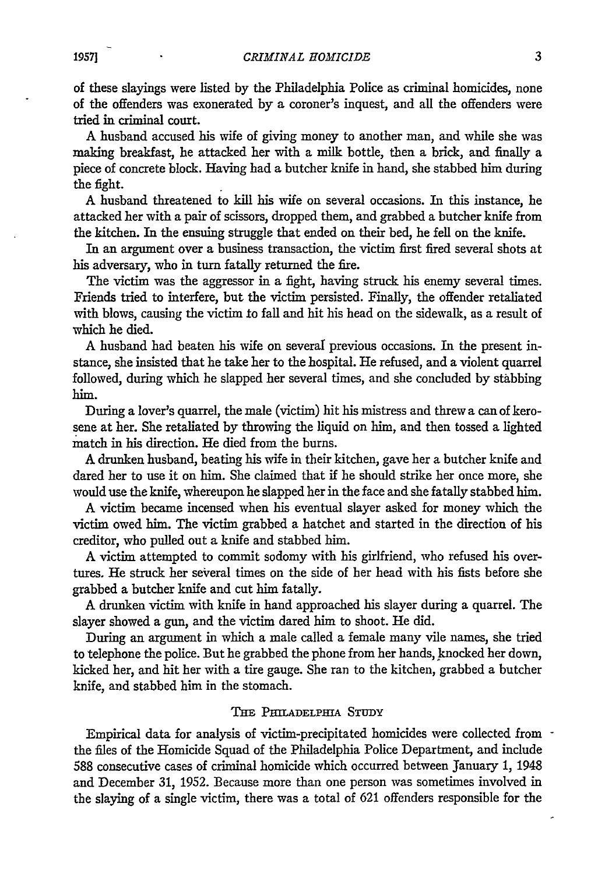of these slayings were listed by the Philadelphia Police as criminal homicides, none of the offenders was exonerated by a coroner's inquest, and all the offenders were tried in criminal court.

A husband accused his wife of giving money to another man, and while she was making breakfast, he attacked her with a milk bottle, then a brick, and finally a piece of concrete block. Having had a butcher knife in hand, she stabbed him during the fight.

A husband threatened to kill his wife on several occasions. In this instance, he attacked her with a pair of scissors, dropped them, and grabbed a butcher knife from the kitchen. In the ensuing struggle that ended on their bed, he fell on the knife.

In an argument over a business transaction, the victim first fired several shots at his adversary, who in turn fatally returned the fire.

The victim was the aggressor in a fight, having struck his enemy several times. Friends tried to interfere, but the victim persisted. Finally, the offender retaliated with blows, causing the victim to fall and hit his head on the sidewalk, as a result of which he died.

A husband had beaten his wife on severaf previous occasions. In the present instance, she insisted that he take her to the hospital. He refused, and a violent quarrel followed, during which he slapped her several times, and she concluded **by** stabbing him.

During a lover's quarrel, the male (victim) hit his mistress and threw a can of kerosene at her. She retaliated by throwing the liquid on him, and then tossed a lighted match in his direction. He died from the burns.

A drunken husband, beating his wife in their kitchen, gave her a butcher knife and dared her to use it on him. She claimed that **if** he should strike her once more, she would use the knife, whereupon he slapped her in the face and she fatally stabbed him.

A victim became incensed when his eventual slayer asked for money which the victim owed him. The victim grabbed a hatchet and started in the direction of his creditor, who pulled out a knife and stabbed him.

A victim attempted to commit sodomy with his girlfriend, who refused his overtures. He struck her several times on the side of her head with his fists before she grabbed a butcher knife and cut him fatally.

A drunken victim with knife in hand approached his slayer during a quarrel. The slayer showed a gun, and the victim dared him to shoot. He did.

During an argument in which a male called a female many vile names, she tried to telephone the police. But he grabbed the phone from her hands, knocked her down, kicked her, and hit her with a tire gauge. She ran to the kitchen, grabbed a butcher knife, and stabbed him in the stomach.

#### THE PHILADELPHIA STUDY

Empirical data for analysis of victim-precipitated homicides were collected from the files of the Homicide Squad of the Philadelphia Police Department, and include **588** consecutive cases of criminal homicide which occurred between January **1,** 1948 and December 31, 1952. Because more than one person was sometimes involved in the slaying of a single victim, there was a total of **621** offenders responsible for the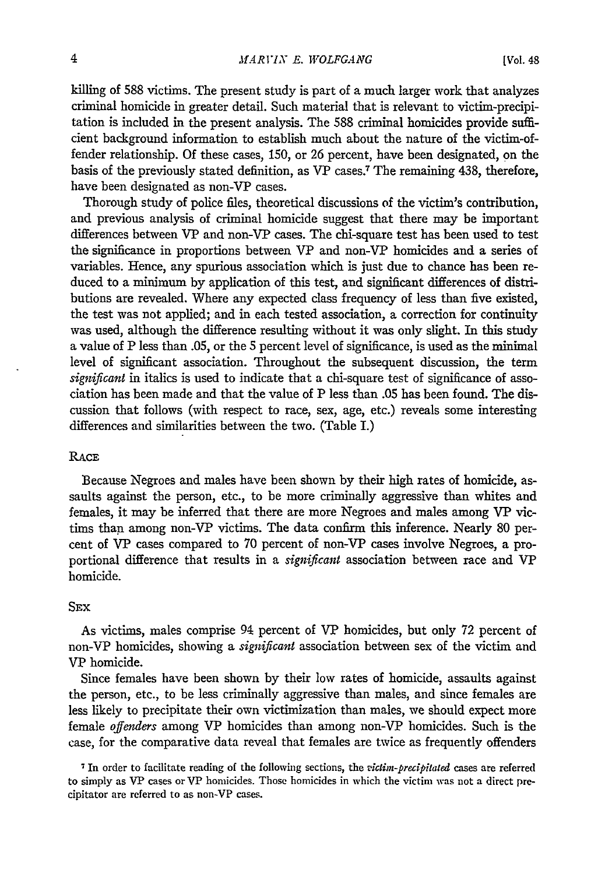killing of 588 victims. The present study is part of a much larger work that analyzes criminal homicide in greater detail. Such material that is relevant to victim-precipitation is included in the present analysis. The 588 criminal homicides provide sufficient background information to establish much about the nature of the victim-offender relationship. Of these cases, 150, or 26 percent, have been designated, on the basis of the previously stated definition, as VP cases.7 The remaining 438, therefore, have been designated as non-VP cases.

Thorough study of police files, theoretical discussions of the victim's contribution, and previous analysis of criminal homicide suggest that there may be important differences between VP and non-VP cases. The chi-square test has been used to test the significance in proportions between VP and non-VP homicides and a series of variables. Hence, any spurious association which is just due to chance has been reduced to a minimum by application of this test, and significant differences of distributions are revealed. Where any expected class frequency of less than five existed, the test was not applied; and in each tested association, a correction for continuity was used, although the difference resulting without it was only slight. In this study a value of P less than .05, or the 5 percent level of significance, is used as the minimal level of significant association. Throughout the subsequent discussion, the term *significant* in italics is used to indicate that a chi-square test of significance of association has been made and that the value of P less than .05 has been found. The discussion that follows (with respect to race, sex, age, etc.) reveals some interesting differences and similarities between the two. (Table I.)

#### RAcE

Because Negroes and males have been shown by their high rates of homicide, assaults against the person, etc., to be more criminally aggressive than whites and females, it may be inferred that there are more Negroes and males among VP victims than among non-VP victims. The data confirm this inference. Nearly 80 percent of VP cases compared to 70 percent of non-VP cases involve Negroes, a proportional difference that results in a *significant* association between race and VP homicide.

#### **SEX**

As victims, males comprise 94 percent of VP homicides, but only 72 percent of non-VP homicides, showing a *significant* association between sex of the victim and VP homicide.

Since females have been shown by their low rates of homicide, assaults against the person, etc., to be less criminally aggressive than males, and since females are less likely to precipitate their own victimization than males, we should expect more female *offenders* among VP homicides than among non-VP homicides. Such is the case, for the comparative data reveal that females are twice as frequently offenders

In order to facilitate reading of the following sections, the *rictim-precipitaled* cases are referred to simply as VP cases or VP homicides. Those homicides in which the victim was not a direct precipitator are referred to as non-VP cases.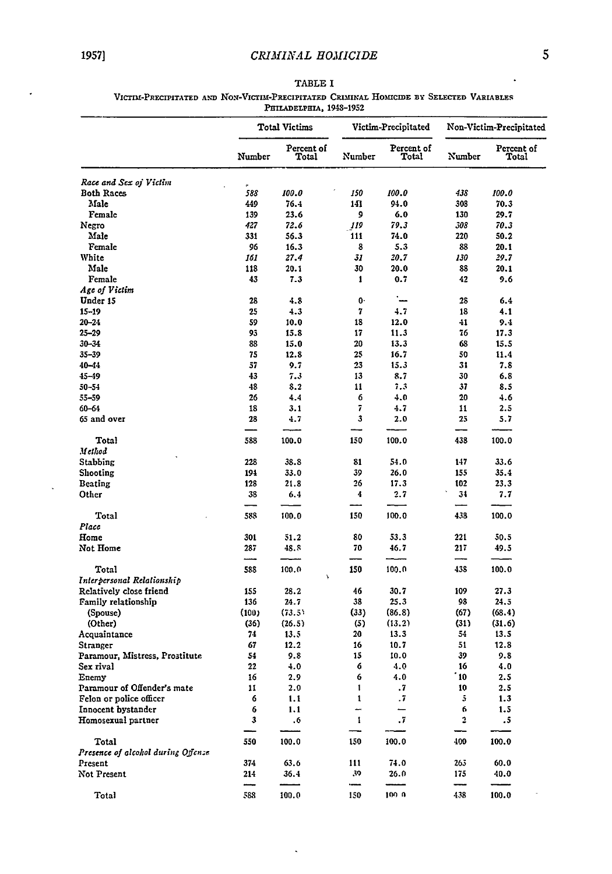$\ddot{\phantom{0}}$ 

 $\lambda$ 

 $\ddot{\phantom{0}}$ 

## TABLE **I** VICTIM-PRECIPITATED AND NON-VICTIM-PRECIPITATED CRIMINAL HOMICIDE BY SELECTED VARIABLES<br>PHILADELPHIA, 1948-1952

|                                    | <b>Total Victims</b> |                     | Victim-Precipitated |                     | Non-Victim-Precipitated |                     |
|------------------------------------|----------------------|---------------------|---------------------|---------------------|-------------------------|---------------------|
|                                    | Number               | Percent of<br>Total | Number              | Percent of<br>Total | Number                  | Percent of<br>Total |
| Race and Sex of Victim             |                      |                     |                     |                     |                         |                     |
| <b>Both Races</b>                  | 588                  | 100.0               | 150                 | 100.0               | 438                     | 100.0               |
| Male                               | 449                  | 76.4                | 141                 | 94.0                | 308                     | 70.3                |
| Female                             | 139                  | 23.6                | 9                   | 6.0                 | 130                     | 29.7                |
| Negro                              | 427                  | 72.6                | 119                 | 79.3                | 308                     | 70.3                |
| Male                               | 331                  | 56.3                | 111                 | 74.0                | 220                     | 50.2                |
| Female                             | 96                   | 16.3                | 8                   | 5.3                 | 88                      | 20.1                |
| White                              | 161                  | 27.4                | 31                  | 20.7                | 130                     | 29.7                |
| Male                               | 118                  | 20.1                | 30                  | 20.0                | 88                      | 20.1                |
| Female                             | 43                   | 7.3                 | 1                   | 0.7                 | 42                      | 9.6                 |
| Age of Victim                      |                      |                     |                     |                     |                         |                     |
| Under 15                           | 28                   | 4.8                 | $\mathbf{0}$        | ٠ <sub>—</sub>      | 28                      | 6.4                 |
| $15 - 19$                          | 25                   | 4.3                 | 7                   | 1.7                 | 18                      | 4.1                 |
| $20 - 24$                          | 59                   | 10.0                | 18                  | 12.0                | 41                      | 9.4                 |
| $25 - 29$                          | 93                   | 15.8                | 17                  | 11.3                | 76                      | 17.3                |
| $30 - 34$                          | 88                   | 15.0                | 20                  | 13.3                | 68                      | 15.5                |
| $35 - 39$                          | 75                   | 12.8                | 25                  | 16.7                | 50                      | 11.4                |
| $40 - 44$                          | 57                   | 9.7                 | 23                  | 15.3                | 31                      | 7.8                 |
| $45 - 19$                          | 43                   | 7.3                 | 13                  | 8.7                 | 30                      | 6.8                 |
| $50 - 54$                          | 48                   | 8.2                 | 11                  | 7.3                 | 37                      | 8.5                 |
| 55-59                              | 26                   | 4.4                 | 6                   | 4.0                 | 20                      | 4.6                 |
| 60-64                              | 18                   | 3.1                 | 7                   | 4.7                 | 11                      | 2.5                 |
| 65 and over                        | 28                   | 4.7                 | 3                   | 2.0                 | 25                      | 5.7                 |
| Total                              | 588                  | 100.0               | 150                 | 100.0               | 438                     | 100.0               |
| <b>Method</b>                      |                      |                     |                     |                     |                         |                     |
| Stabbing                           | 228                  | 38.8                | 81                  | 54.0                | 147                     | 33.6                |
| Shooting                           | 194                  | 33.0                | 39                  | 26.0                | 155                     | 35.4                |
| Beating                            | 128                  | 21.8                | 26                  | 17.3                | 102                     | 23.3                |
| Other                              | 38                   | 6.4                 | 4                   | 2.7                 | 34                      | 7.7                 |
| Total                              | 588                  | 100.0               | 150                 | 100.0               | 438                     | 100.0               |
| Place                              |                      |                     |                     |                     |                         |                     |
| Home                               | 301                  | 51.2                | 80                  | 53.3                | 221                     | 50.5                |
| Not Home                           | 287                  | 48.8                | 70                  | 46.7                | 217                     | 49.5                |
| Total                              | 588                  | 100.0               | 150                 | 100.0               | 438                     | 100.0               |
| Interpersonal Relationship         |                      | Ń                   |                     |                     |                         |                     |
| Relatively close friend            | 155                  | 28.2                | 46                  | 30.7                | 109                     | 27.3                |
| Family relationship                | 136                  | 24.7                | 38                  | 25.3                | 98                      | 24.5                |
| (Spouse)                           | (100)                | (73.5)              | (33)                | (86.8)              | (67)                    | (68.4)              |
| (Other)                            | (36)                 | (26.5)              | (5)                 | (13.2)              | (31)                    | (31.6)              |
| Acquaintance                       | 74                   | 13.5                | 20                  | 13.3                | 54                      | 13.5                |
| Stranger                           | 67                   | 12.2                | 16                  | 10.7                | 51                      | 12.8                |
| Paramour, Mistress, Prostitute     | 54                   | 9.8                 | 15                  | 10.0                | 39                      | 9.8                 |
| Sex rival                          | 22                   | 4.0                 | 6                   | 4.0                 | 16                      | 4.0                 |
| Enemy                              | 16                   | 2.9                 | 6                   | 4.0                 | 10                      | 2.5                 |
| Paramour of Offender's mate        | 11                   | 2.0                 | $\mathbf{1}$        | $\cdot$             | 10                      | 2.5                 |
| Felon or police officer            | 6                    | 1.1                 | 1                   | .7                  | 5                       | 1.3                 |
| Innocent bystander                 | 6                    | 1.1                 |                     |                     | 6                       | 1.5                 |
| Homosexual partner                 | 3                    | .6                  | 1                   | .7                  | 2                       | .5                  |
| Total                              | 550                  | 100.0               | 150                 | 100.0               | 400                     | 100.0               |
| Presence of alcohol during Offense |                      |                     |                     |                     |                         |                     |
| Present                            | 374                  | 63.6                | 111<br>39           | 74.0                | 265                     | 60.0                |
| Not Present                        | 214                  | 36.4                | للساء               | 26.0                | 175                     | 40.0                |
| Total                              | 588                  | 100.0               | 150                 | 100.0               | 438                     | 100.0               |

 $\ddot{\phantom{a}}$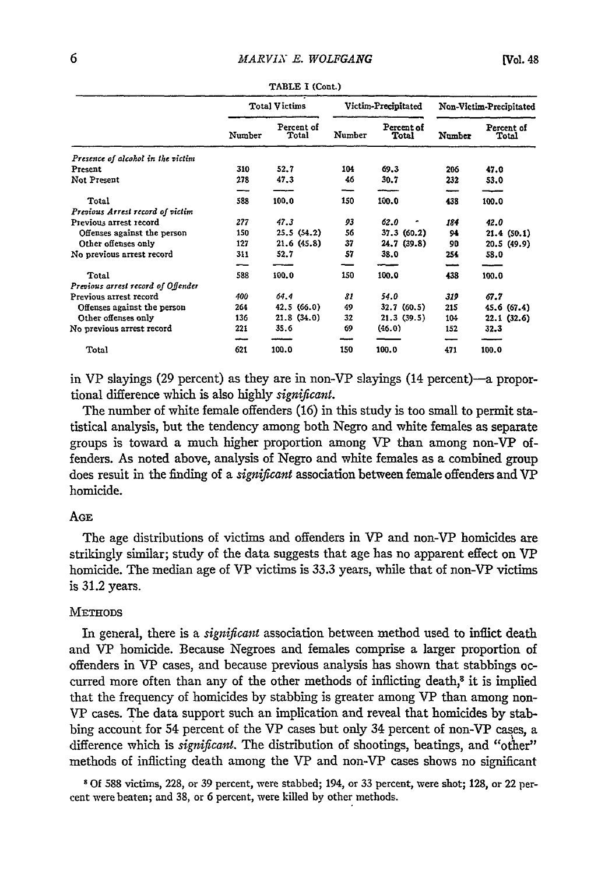|                                    | <b>Total Victims</b> |                     | Victim-Precipitated |                     | Non-Victim-Precipitated |                     |
|------------------------------------|----------------------|---------------------|---------------------|---------------------|-------------------------|---------------------|
|                                    | Number               | Percent of<br>Total | Number              | Percent of<br>Total | Number                  | Percent of<br>Total |
| Presence of alcohol in the victim  |                      |                     |                     |                     |                         |                     |
| Present                            | 310                  | 52.7                | 104                 | 69.3                | 206                     | 47.0                |
| Not Present                        | 278                  | 47.3                | 46                  | 30.7                | 232                     | 53.0                |
| Total                              | 588                  | 100.0               | 150                 | 100.0               | 438                     | 100.0               |
| Previous Arrest record of victim   |                      |                     |                     |                     |                         |                     |
| Previous arrest record             | 277                  | 47.3                | 93                  | 62.0                | 184                     | 42.0                |
| Offenses against the person        | 150                  | 25.5(54.2)          | 56                  | 37.3 (60.2)         | 94                      | 21.4(50.1)          |
| Other offenses only                | 127                  | 21.6(45.8)          | 37                  | 24.7 (39.8)         | 90                      | 20.5(49.9)          |
| No previous arrest record          | 311                  | 52.7                | 57                  | 38.0                | 254                     | 58.0                |
| Total                              | 588                  | 100.0               | 150                 | 100.0               | --<br>438               | 100.0               |
| Previous arrest record of Offender |                      |                     |                     |                     |                         |                     |
| Previous arrest record             | 400                  | 64.4                | 81                  | 54.0                | 319                     | 67.7                |
| Offenses against the person        | 264                  | 42.5 (66.0)         | 49                  | 32.7 (60.5)         | 215                     | 45.6 (67.4)         |
| Other offenses only                | 136                  | 21.8(34.0)          | 32                  | 21.3(39.5)          | 104                     | 22.1(32.6)          |
| No previous arrest record          | 221                  | 35.6                | 69                  | (46.0)              | 152                     | 32.3                |
| Total                              | 621                  | 100.0               | 150                 | 100.0               | 471                     | 100.0               |

TABLE **I (Cont.)**

in VP slayings (29 percent) as they are in non-VP slayings (14 percent)—a proportional difference which is also highly *significant.*

The number of white female offenders (16) in this study is too small to permit statistical analysis, but the tendency among both Negro and white females as separate groups is toward a much higher proportion among VP than among non-VP offenders. As noted above, analysis of Negro and white females as a combined group does result in the finding of a *significant* association between female offenders and VP homicide.

#### **AGE**

The age distributions of victims and offenders in VP and non-VP homicides are strikingly similar; study of the data suggests that age has no apparent effect on VP homicide. The median age of VP victims is 33.3 years, while that of non-VP victims is 31.2 years.

#### **METHODS**

In general, there is a *significant* association between method used to inflict death and VP homicide. Because Negroes and females comprise a larger proportion of offenders in VP cases, and because previous analysis has shown that stabbings occurred more often than any of the other methods of inflicting death, $\delta$  it is implied that the frequency of homicides by stabbing is greater among VP than among non-VP cases. The data support such an implication and reveal that homicides by stabbing account for 54 percent of the VP cases but only 34 percent of non-VP cases, a difference which is *significant.* The distribution of shootings, beatings, and "other" methods of inflicting death among the VP and non-VP cases shows no significant

**8** Of 588 victims, 228, or 39 percent, were stabbed; 194, or 33 percent, were shot; 128, or 22 percent were beaten; and 38, or 6 percent, were killed by other methods.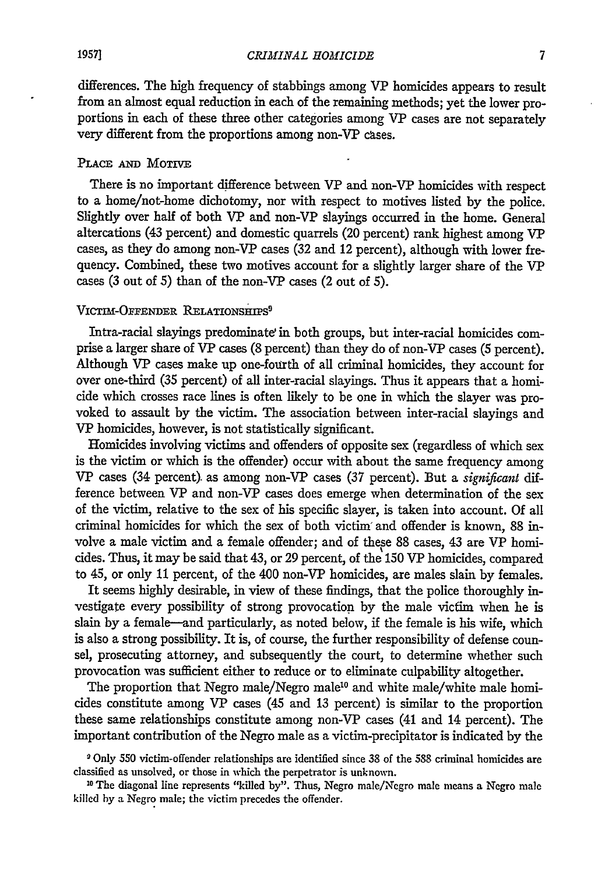differences. The high frequency of stabbings among VP homicides appears to result from an almost equal reduction in each of the remaining methods; yet the lower proportions in each of these three other categories among VP cases are not separately very different from the proportions among non-VP cases.

#### **PLACE AND MOTIVE**

There is no important difference between VP and non-VP homicides with respect to a home/not-home dichotomy, nor with respect to motives listed by the police. Slightly over half of both VP and non-VP slayings occurred in the home. General altercations (43 percent) and domestic quarrels (20 percent) rank highest among VP cases, as they do among non-VP cases (32 and 12 percent), although with lower frequency. Combined, these two motives account for a slightly larger share of the VP cases (3 out of 5) than of the non-VP cases (2 out of 5).

#### VICTIM-OFFENDER RELATIONSHIPS<sup>9</sup>

Intra-racial slayings predominate in both groups, but inter-racial homicides comprise a larger share of VP cases (8 percent) than they do of non-VP cases (5 percent). Although VP cases make up one-fourth of all criminal homicides, they account for over one-third (35 percent) of all inter-racial slayings. Thus it appears that a homicide which crosses race lines is often likely to be one in which the slayer was provoked to assault by the victim. The association between inter-racial slayings and VP homicides, however, is not statistically significant.

Homicides involving victims and offenders of opposite sex (regardless of which sex is the victim or which is the offender) occur with about the same frequency among VP cases (34 percent). as among non-VP cases (37 percent). But a *significant dif*ference between VP and non-VP cases does emerge when determination of the sex of the victim, relative to the sex of his specific slayer, is taken into account. Of all criminal homicides for which the sex of both victim and offender is known, 88 involve a male victim and a female offender; and of these 88 cases, 43 are VP homicides. Thus, it may be said that 43, or 29 percent, of the 150 VP homicides, compared to 45, or only 11 percent, of the 400 non-VP homicides, are males slain by females.

It seems highly desirable, in view of these findings, that the police thoroughly investigate every possibility of strong provocation by the male victim when he is slain by a female-and particularly, as noted below, if the female is his wife, which is also a strong possibility. It is, of course, the further responsibility of defense counsel, prosecuting attorney, and subsequently the court, to determine whether such provocation was sufficient either to reduce or to eliminate culpability altogether.

The proportion that Negro male/Negro male<sup>10</sup> and white male/white male homicides constitute among VP cases (45 and 13 percent) is similar to the proportion these same relationships constitute among non-VP cases (41 and 14 percent). The important contribution of the Negro male as a victim-precipitator is indicated by the

<sup>&</sup>lt;sup>9</sup> Only 550 victim-offender relationships are identified since 38 of the 588 criminal homicides are classified as unsolved, or those in which the perpetrator is unknown.

**<sup>10</sup>** The diagonal line represents "killed by". Thus, Negro male/Negro male means a Negro male killed by a Negro male; the victim precedes the offender.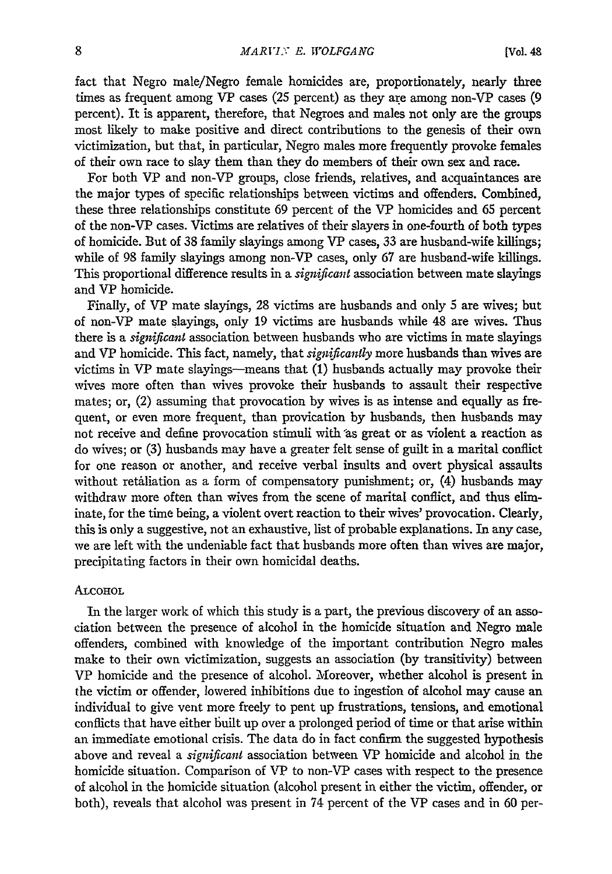fact that Negro male/Negro female homicides are, proportionately, nearly three times as frequent among VP cases (25 percent) as they are among non-VP cases (9 percent). It is apparent, therefore, that Negroes and males not only are the groups most likely to make positive and direct contributions to the genesis of their own victimization, but that, in particular, Negro males more frequently provoke females of their own race to slay them than they do members of their own sex and race.

For both VP and non-VP groups, close friends, relatives, and acquaintances are the major types of specific relationships between victims and offenders. Combined, these three relationships constitute 69 percent of the VP homicides and 65 percent of the non-VP cases. Victims are relatives of their slayers in one-fourth of both types of homicide. But of 38 family slayings among VP cases, 33 are husband-wife killings; while of 98 family slayings among non-VP cases, only 67 are husband-wife killings. This proportional difference results in a *significant* association between mate slayings and VP homicide.

Finally, of VP mate slayings, 28 victims are husbands and only 5 are wives; but of non-VP mate slayings, only 19 victims are husbands while 48 are wives. Thus there is a *significant* association between husbands who are victims in mate slayings and VP homicide. This fact, namely, that *significantly* more husbands than wives are victims in VP mate slayings-means that (1) husbands actually may provoke their wives more often than wives provoke their husbands to assault their respective mates; or, (2) assuming that provocation by wives is as intense and equally as frequent, or even more frequent, than provication by husbands, then husbands may not receive and define provocation stimuli with as great or as violent a reaction as do wives; or (3) husbands may have a greater felt sense of guilt in a marital conflict for one reason or another, and receive verbal insults and overt physical assaults without retaliation as a form of compensatory punishment; or, (4) husbands may withdraw more often than wives from the scene of marital conflict, and thus eliminate, for the time being, a violent overt reaction to their wives' provocation. Clearly, this is only a suggestive, not an exhaustive, list of probable explanations. In any case, we are left with the undeniable fact that husbands more often than wives are major, precipitating factors in their own homicidal deaths.

**ALCOHOL** 

In the larger work of which this study is a part, the previous discovery of an association between the presence of alcohol in the homicide situation and Negro male offenders, combined with knowledge of the important contribution Negro males make to their own victimization, suggests an association (by transitivity) between VP homicide and the presence of alcohol. Moreover, whether alcohol is present in the victim or offender, lowered inhibitions due to ingestion of alcohol may cause an individual to give vent more freely to pent up frustrations, tensions, and emotional conflicts that have either built up over a prolonged period of time or that arise within an immediate emotional crisis. The data do in fact confirm the suggested hypothesis above and reveal a *significant* association between VP homicide and alcohol in the homicide situation. Comparison of VP to non-VP cases with respect to the presence of alcohol in the homicide situation (alcohol present in either the victim, offender, or both), reveals that alcohol was present in 74 percent of the VP cases and in 60 per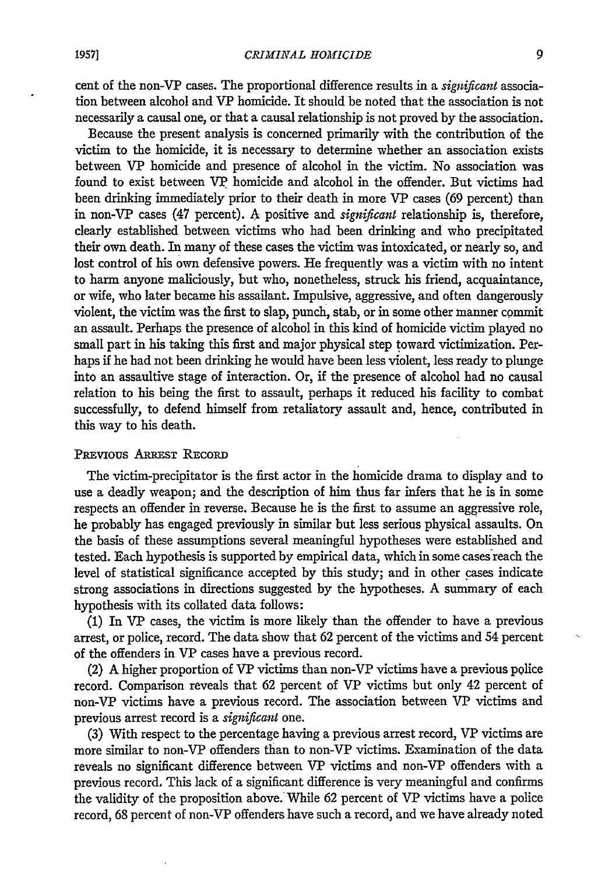cent of the non-VP cases. The proportional difference results in a *significant* association between alcohol and VP homicide. It should be noted that the association is not necessarily a causal one, or that a causal relationship is not proved by the association.

Because the present analysis is concerned primarily with the contribution of the victim to the homicide, it is necessary to determine whether an association exists between VP homicide and presence of alcohol in the victim. No association was found to exist between VP homicide and alcohol in the offender. But victims had been drinking immediately prior to their death in more VP cases (69 percent) than in non-VP cases (47 percent). A positive and *significant* relationship is, therefore, clearly established between victims who had been drinking and who precipitated their own death. In many of these cases the victim was intoxicated, or nearly so, and lost control of his own defensive powers. He frequently was a victim with no intent to harm anyone maliciously, but who, nonetheless, struck his friend, acquaintance, or wife, who later became his assailant. Impulsive, aggressive, and often dangerously violent, the victim was the first to slap, punch, stab, or in some other manner commit an assault. Perhaps the presence of alcohol in this kind of homicide victim played no small part in his taking this first and major physical step toward victimization. Perhaps if he had not been drinking he would have been less violent, less ready to plunge into an assaultive stage of interaction. Or, if the presence of alcohol had no causal relation to his being the first to assault, perhaps it reduced his facility to combat successfully, to defend himself from retaliatory assault and, hence, contributed in this way to his death.

#### PREVIOUS ARREST RECORD

The victim-precipitator is the first actor in the homicide drama to display and to use a deadly weapon; and the description of him thus far infers that he is in some respects an offender in reverse. Because he is the first to assume an aggressive role, he probably has engaged previously in similar but less serious physical assaults. On the basis of these assumptions several meaningful hypotheses were established and tested. Each hypothesis is supported by empirical data, which in some cases reach the level of statistical significance accepted by this study; and in other cases indicate strong associations in directions suggested by the hypotheses. A summary of each hypothesis with its collated data follows:

(1) In VP cases, the victim is more likely than the offender to have a previous arrest, or police, record. The data show that 62 percent of the victims and 54 percent of the offenders in VP cases have a previous record.

(2) A higher proportion of VP victims than non-VP victims have a previous pQlice record. Comparison reveals that 62 percent of VP victims but only 42 percent of non-VP victims have a previous record. The association between VP victims and previous arrest record is a *significant* one.

(3) With respect to the percentage having a previous arrest record, VP victims are more similar to non-VP offenders than to non-VP victims. Examination of the data reveals no significant difference between VP victims and non-VP offenders with a previous record, This lack of a significant difference is very meaningful and confirms the validity of the proposition above. While 62 percent of VP victims have a police record, 68 percent of non-VP offenders have such a record, and we have already noted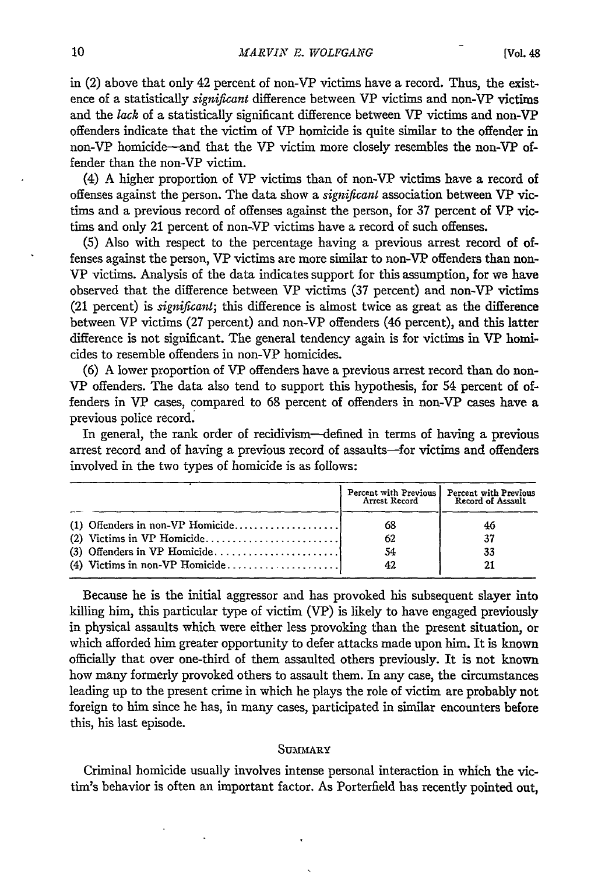in (2) above that only 42 percent of non-VP victims have a record. Thus, the existence of a statistically *significant* difference between VP victims and non-VP victims and the *lack* of a statistically significant difference between VP victims and non-VP offenders indicate that the victim of VP homicide is quite similar to the offender in non-VP homicide-and that the VP victim more closely resembles the non-VP offender than the non-VP victim.

(4) A higher proportion of VP victims than of non-VP victims have a record of offenses against the person. The data show a *significant* association between VP victims and a previous record of offenses against the person, for 37 percent of VP victims and only 21 percent of non-VP victims have a record of such offenses.

(5) Also with respect to the percentage having a previous arrest record of offenses against the person, VP victims are more similar to non-VP offenders than non-VP victims. Analysis of the data indicates support for this assumption, for we have observed that the difference between VP victims (37 percent) and non-VP victims (21 percent) is *significant;* this difference is almost twice as great as the difference between VP victims (27 percent) and non-VP offenders (46 percent), and this latter difference is not significant. The general tendency again is for victims in VP homicides to resemble offenders in non-VP homicides.

(6) A lower proportion of VP offenders have a previous arrest record than do non-VP offenders. The data also tend to support this hypothesis, for 54 percent of offenders in VP cases, compared to 68 percent of offenders in non-VP cases have a previous police record.

In general, the rank order of recidivism-defined in terms of having a previous arrest record and of having a previous record of assaults-for victims and offenders involved in the two types of homicide is as follows:

|  | Percent with Previous Percent with Previous<br>Arrest Record | Record of Assault |
|--|--------------------------------------------------------------|-------------------|
|  | 68                                                           | 46                |
|  | 62                                                           | 37                |
|  | 54                                                           | 33                |
|  | 42                                                           | 21                |
|  |                                                              |                   |

Because he is the initial aggressor and has provoked his subsequent slayer into killing him, this particular type of victim (VP) is likely to have engaged previously in physical assaults which were either less provoking than the present situation, or which afforded him greater opportunity to defer attacks made upon him. It is known officially that over one-third of them assaulted others previously. It is not known how many formerly provoked others to assault them. In any case, the circumstances leading up to the present crime in which he plays the role of victim are probably not foreign to him since he has, in many cases, participated in similar encounters before this, his last episode.

#### SUMMARY

Criminal homicide usually involves intense personal interaction in which the victim's behavior is often an important factor. As Porterfield has recently pointed out,